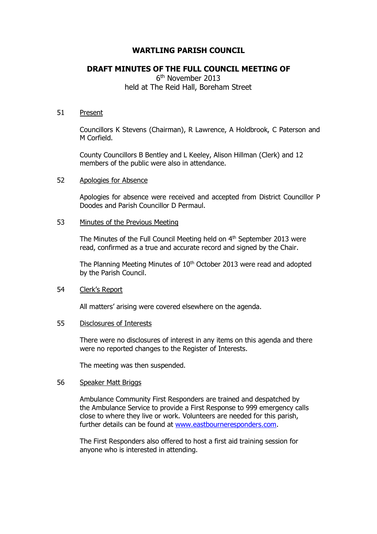# **WARTLING PARISH COUNCIL**

# **DRAFT MINUTES OF THE FULL COUNCIL MEETING OF**

6 th November 2013 held at The Reid Hall, Boreham Street

#### 51 Present

Councillors K Stevens (Chairman), R Lawrence, A Holdbrook, C Paterson and M Corfield.

County Councillors B Bentley and L Keeley, Alison Hillman (Clerk) and 12 members of the public were also in attendance.

#### 52 Apologies for Absence

Apologies for absence were received and accepted from District Councillor P Doodes and Parish Councillor D Permaul.

## 53 Minutes of the Previous Meeting

The Minutes of the Full Council Meeting held on  $4<sup>th</sup>$  September 2013 were read, confirmed as a true and accurate record and signed by the Chair.

The Planning Meeting Minutes of 10<sup>th</sup> October 2013 were read and adopted by the Parish Council.

## 54 Clerk's Report

All matters' arising were covered elsewhere on the agenda.

#### 55 Disclosures of Interests

There were no disclosures of interest in any items on this agenda and there were no reported changes to the Register of Interests.

The meeting was then suspended.

#### 56 Speaker Matt Briggs

Ambulance Community First Responders are trained and despatched by the Ambulance Service to provide a First Response to 999 emergency calls close to where they live or work. Volunteers are needed for this parish, further details can be found at [www.eastbourneresponders.com.](http://www.eastbourneresponders.com/)

The First Responders also offered to host a first aid training session for anyone who is interested in attending.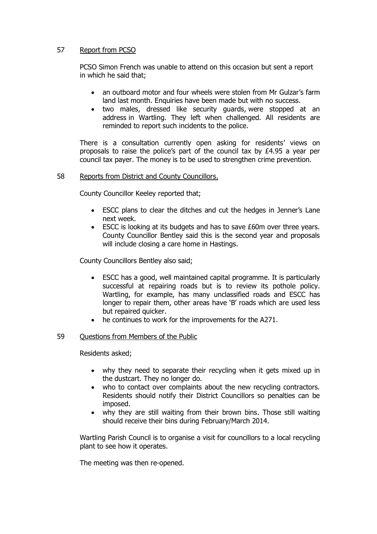## 57 Report from PCSO

PCSO Simon French was unable to attend on this occasion but sent a report in which he said that;

- an outboard motor and four wheels were stolen from Mr Gulzar's farm land last month. Enquiries have been made but with no success.
- two males, dressed like security guards, were stopped at an address in Wartling. They left when challenged. All residents are reminded to report such incidents to the police.

There is a consultation currently open asking for residents' views on proposals to raise the police's part of the council tax by £4.95 a year per council tax payer. The money is to be used to strengthen crime prevention.

## 58 Reports from District and County Councillors.

County Councillor Keeley reported that;

- ESCC plans to clear the ditches and cut the hedges in Jenner's Lane next week.
- ESCC is looking at its budgets and has to save £60m over three years. County Councillor Bentley said this is the second year and proposals will include closing a care home in Hastings.

County Councillors Bentley also said;

- ESCC has a good, well maintained capital programme. It is particularly successful at repairing roads but is to review its pothole policy. Wartling, for example, has many unclassified roads and ESCC has longer to repair them, other areas have 'B' roads which are used less but repaired quicker.
- he continues to work for the improvements for the A271.

## 59 Questions from Members of the Public

Residents asked;

- why they need to separate their recycling when it gets mixed up in the dustcart. They no longer do.
- who to contact over complaints about the new recycling contractors. Residents should notify their District Councillors so penalties can be imposed.
- why they are still waiting from their brown bins. Those still waiting should receive their bins during February/March 2014.

Wartling Parish Council is to organise a visit for councillors to a local recycling plant to see how it operates.

The meeting was then re-opened.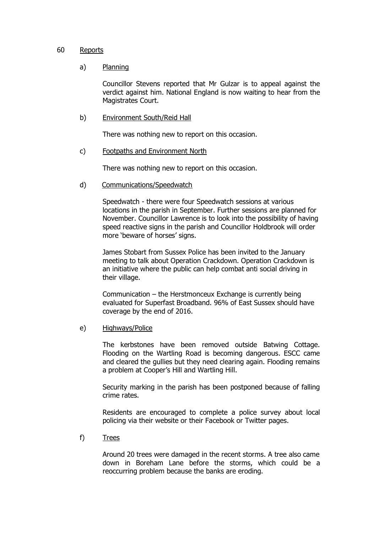#### 60 Reports

## a) Planning

Councillor Stevens reported that Mr Gulzar is to appeal against the verdict against him. National England is now waiting to hear from the Magistrates Court.

b) Environment South/Reid Hall

There was nothing new to report on this occasion.

c) Footpaths and Environment North

There was nothing new to report on this occasion.

d) Communications/Speedwatch

Speedwatch - there were four Speedwatch sessions at various locations in the parish in September. Further sessions are planned for November. Councillor Lawrence is to look into the possibility of having speed reactive signs in the parish and Councillor Holdbrook will order more 'beware of horses' signs.

James Stobart from Sussex Police has been invited to the January meeting to talk about Operation Crackdown. Operation Crackdown is an initiative where the public can help combat anti social driving in their village.

Communication – the Herstmonceux Exchange is currently being evaluated for Superfast Broadband. 96% of East Sussex should have coverage by the end of 2016.

e) Highways/Police

The kerbstones have been removed outside Batwing Cottage. Flooding on the Wartling Road is becoming dangerous. ESCC came and cleared the gullies but they need clearing again. Flooding remains a problem at Cooper's Hill and Wartling Hill.

Security marking in the parish has been postponed because of falling crime rates.

Residents are encouraged to complete a police survey about local policing via their website or their Facebook or Twitter pages.

f) Trees

Around 20 trees were damaged in the recent storms. A tree also came down in Boreham Lane before the storms, which could be a reoccurring problem because the banks are eroding.